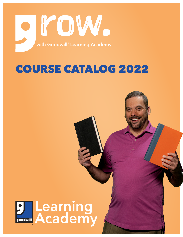

# COURSE CATALOG 2022

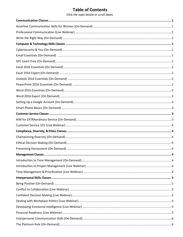# **Table of Contents**

Click the topic below or scroll down.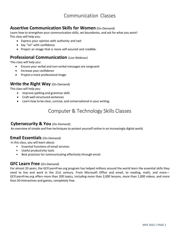# Communication Classes

### <span id="page-3-1"></span><span id="page-3-0"></span>**Assertive Communication Skills for Women** (On-Demand)

Learn how to strengthen your communication skills, set boundaries, and ask for what you want! This class will help you:

- Express your opinion with authority and tact
- Say "no" with confidence
- Project an image that is more self-assured and credible.

### <span id="page-3-2"></span>**Professional Communication** (Live Webinar)

This class will help you:

- Ensure your verbal and non-verbal messages are congruent
- Increase your confidence
- Project a more professional image

### <span id="page-3-3"></span>**Write the Right Way** (On-Demand)

This class will help you:

- Improve spelling and grammar skills
- Craft well-structured sentences
- <span id="page-3-4"></span>• Learn how to be clear, concise, and conversational in your writing.

# Computer & Technology Skills Classes

### <span id="page-3-5"></span>**Cybersecurity & You** (On-Demand)

An overview of simple and free techniques to protect yourself online in an increasingly digital world.

### <span id="page-3-6"></span>**Email Essentials** (On-Demand)

In this class, you will learn about:

- Essential functions of email services
- Useful productivity tools
- Best practices for communicating effectively through email.

#### <span id="page-3-7"></span>**GFC Learn Free** (On-Demand)

For almost 20 years, the GCFLearnFree.org program has helped millions around the world learn the essential skills they need to live and work in the 21st century. From Microsoft Office and email, to reading, math, and more-GCFLearnFree.org offers more than 200 topics, including more than 2,000 lessons, more than 1,000 videos, and more than 50 interactives and games, completely free.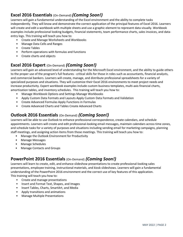### <span id="page-4-0"></span>**Excel 2016 Essentials** (On-Demand) *(Coming Soon!)*

Learners will gain a fundamental understanding of the Excel environment and the ability to complete tasks independently. They will know and demonstrate the correct application of the principal features of Excel 2016. Learners will create and edit a workbook with multiple sheets and use a graphic element to represent data visually. Workbook examples include professional looking budgets, financial statements, team performance charts, sales invoices, and dataentry logs. This training will teach you how to:

- Create and Manage Worksheets and Workbooks
- Manage Data Cells and Ranges
- Create Tables
- Perform operations with formulas and functions
- Create charts and objects

### <span id="page-4-1"></span>**Excel 2016 Expert** (On-Demand) *(Coming Soon!)*

Learners will gain an advanced level of understanding for the Microsoft Excel environment, and the ability to guide others to the proper use of the program's full features - critical skills for those in roles such as accountants, financial analysts, and commercial bankers. Learners will create, manage, and distribute professional spreadsheets for a variety of specialized purposes and situations. They will customize their Excel 2016 environments to meet project needs and increase productivity. Expert workbook examples include custom business templates, multi-axis financial charts, amortization tables, and inventory schedules. This training will teach you how to:

- Manage Workbook Options and Settings Manage Workbooks
- Apply Custom Data Formats and Layouts Apply Custom Data Formats and Validation
- Create Advanced Formulas Apply Functions in Formulas
- Create Advanced Charts and Tables Create Advanced Charts

### <span id="page-4-2"></span>**Outlook 2016 Essentials** (On-Demand) *(Coming Soon!)*

Learners will be able to use Outlook to enhance professional correspondence, create calendars, and schedule appointments. Learners will create and edit professional-looking email messages, maintain calendars across time zones, and schedule tasks for a variety of purposes and situations including sending email for marketing campaigns, planning staff meetings, and assigning action items from those meetings. This training will teach you how to:

- Manage the Outlook Environment for Productivity
- Manage Messages
- Manage Schedules
- Manage Contacts and Groups

### <span id="page-4-3"></span>**PowerPoint 2016 Essentials** (On-Demand) *(Coming Soon!)*

Learners will learn to create, edit, and enhance slideshow presentations to create professional-looking sales presentations, employee training, instructional materials, and kiosk slideshows. Learners will gain a fundamental understanding of the PowerPoint 2016 environment and the correct use of key features of this application. This training will teach you how to:

- Create and manage presentations
- Insert and Format Text, Shapes, and Images
- Insert Tables, Charts, SmartArt, and Media
- Apply transitions and animations
- Manage Multiple Presentations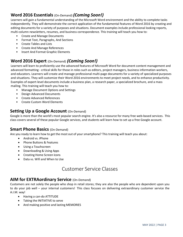### <span id="page-5-0"></span>**Word 2016 Essentials** (On-Demand)*(Coming Soon!)*

Learners will gain a fundamental understanding of the Microsoft Word environment and the ability to complete tasks independently. They will demonstrate the correct application of the fundamental features of Word 2016 by creating and editing documents for a variety of purposes and situations. Document examples include professional looking reports, multi-column newsletters, resumes, and business correspondence. This training will teach you how to:

- Create and Manage Documents
- Format Text, Paragraphs, And Sections
- Create Tables and Lists
- Create And Manage References
- Insert And Format Graphic Elements

### <span id="page-5-1"></span>**Word 2016 Expert** (On-Demand) *(Coming Soon!)*

Learners will learn to proficiently use the advanced features of Microsoft Word for document content management and advanced formatting - critical skills for those in roles such as editors, project managers, business information workers, and educators. Learners will create and manage professional multi-page documents for a variety of specialized purposes and situations. They will customize their Word 2016 environments to meet project needs, and to enhance productivity. Examples of expert-level documents include a business plan, a research paper, a specialized brochure, and a mass mailing. This training will teach you how to:

- Manage Document Options and Settings
- Design Advanced Documents
- Create Advanced References
- Create Custom Word Elements

### <span id="page-5-2"></span>**Setting Up a Google Account (On-Demand)**

Google is more than the world's most popular search engine. It's also a resource for many free web-based services. This class covers several of these popular Google services, and students will learn how to set up a free Google account.

#### <span id="page-5-3"></span>**Smart Phone Basics (On-Demand)**

Are you ready to learn how to get the most out of your smartphone? This training will teach you about:

- Android vs. iPhone
- Phone Buttons & Features
- Using a Touchscreen
- Downloading & Using Apps
- Creating Home Screen Icons
- Data vs. Wifi and When to Use

# Customer Service Classes

### <span id="page-5-5"></span><span id="page-5-4"></span>**AIM for EXTRAordinary Service** (On-Demand)

Customers are not solely the people who shop in retail stores; they are also the people who are dependent upon you to do your job well – your internal customers! This class focuses on delivering extraordinary customer service the A.I.M. way!

- Having a can-do ATTITUDE
- Taking the INITIATIVE to serve
- And making positive and lasting MEMORIES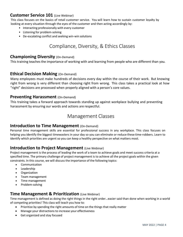### <span id="page-6-0"></span>**Customer Service 101** (Live Webinar)

This class focuses on the basics of retail customer service. You will learn how to sustain customer loyalty by looking at every situation through the eyes of the customer and then acting accordingly by:

- Interacting professionally with every customer
- Listening for problem-solving
- De-escalating conflict and seeking win-win solutions

# Compliance, Diversity, & Ethics Classes

### <span id="page-6-2"></span><span id="page-6-1"></span>**Championing Diversity** (On-Demand)

This training teaches the importance of working with and learning from people who are different than you.

#### <span id="page-6-3"></span>**Ethical Decision Making** (On-Demand)

Many employees must make hundreds of decisions every day within the course of their work. But knowing right from wrong is very different than choosing right from wrong. This class takes a practical look at how "right" decisions are processed when properly aligned with a person's core values.

#### <span id="page-6-4"></span>**Preventing Harassment** (On-Demand)

This training takes a forward approach towards standing up against workplace bullying and preventing harassment by ensuring our words and actions are respectful.

### Management Classes

#### <span id="page-6-6"></span><span id="page-6-5"></span>**Introduction to Time Management** (On-Demand)

Personal time management skills are essential for professional success in any workplace. This class focuses on helping you identify the biggest timewasters in your day so you can eliminate or reduce these time-robbers. Learn to identify which priorities are urgent so you can keep a healthy perspective on what matters most.

### <span id="page-6-7"></span>**Introduction to Project Management (Live Webinar)**

Project management is the process of leading the work of a team to achieve goals and meet success criteria at a specified time. The primary challenge of project management is to achieve all the project goals within the given constraints. In this course, we will discuss the importance of the following topics:

- Communication
- Leadership
- Organization
- Team management
- Time management
- Problem-solving

### <span id="page-6-8"></span>**Time Management & Prioritization** (Live Webinar)

Time management is defined as doing the right things in the right order…easier said than done when working in a world of competing priorities! This class will teach you how to:

- Prioritize by spending the right amounts of time on the things that really matter
- Manage your distractions to increase your effectiveness
- Get organized and stay focused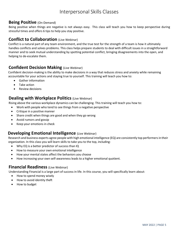## Interpersonal Skills Classes

### <span id="page-7-1"></span><span id="page-7-0"></span>**Being Positive** (On-Demand)

Being positive when things are negative is not always easy. This class will teach you how to keep perspective during stressful times and offers 6 tips to help you stay positive.

### <span id="page-7-2"></span>**Conflict to Collaboration** (Live Webinar)

Conflict is a natural part of any team environment, and the true test for the strength of a team is how it ultimately handles conflicts and solves problems. This class helps prepare students to deal with difficult issues in a straightforward manner and to seek mutual understanding by spotting potential conflict, bringing disagreements into the open, and helping to de-escalate them.

### <span id="page-7-3"></span>**Confident Decision Making** (Live Webinar)

Confident decision-making is the ability to make decisions in a way that reduces stress and anxiety while remaining accountable for your actions and staying true to yourself. This training will teach you how to:

- Gather information
- Take action
- Review decisions

### <span id="page-7-4"></span>**Dealing with Workplace Politics (Live Webinar)**

Rising above the various workplace dynamics can be challenging. This training will teach you how to:

- Work with people who tend to see things from a negative perspective
- Critique in a positive manner
- Share credit when things are good and when they go wrong
- Avoid rumors and gossip
- Keep your emotions in check

#### <span id="page-7-5"></span>**Developing Emotional Intelligence (Live Webinar)**

Research and business experts agree people with high emotional intelligence (EQ) are consistently top performers in their organization. In this class you will learn skills to take you to the top, including:

- Why EQ is a better predictor of success than IQ
- How to measure your own emotional intelligence
- How your mental states affect the behaviors you choose
- How increasing your own self-awareness leads to a higher emotional quotient.

#### <span id="page-7-6"></span>**Financial Readiness** (Live Webinar)

Understanding Financial is a large part of success in life. In this course, you will specifically learn about:

- How to spend money wisely
- How to avoid identity theft
- How to budget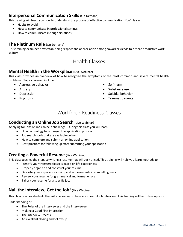### <span id="page-8-0"></span>**Interpersonal Communication Skills (On-Demand)**

This training will teach you how to understand the process of effective communication. You'll learn:

- Habits to avoid
- How to communicate in professional settings
- How to communicate in tough situations

#### <span id="page-8-1"></span>**The Platinum Rule** (On-Demand)

<span id="page-8-2"></span>This training examines how establishing respect and appreciation among coworkers leads to a more productive work culture.

# Health Classes

### <span id="page-8-3"></span>**Mental Health in the Workplace** (Live Webinar)

This class provides an overview of how to recognize the symptoms of the most common and severe mental health problems. Topics covered include:

- Aggressive behavior
- Anxiety
- Depression
- Psychosis
- Self-harm
- Substance use
- Suicidal behavior
- Traumatic events

# Workforce Readiness Classes

### <span id="page-8-5"></span><span id="page-8-4"></span>**Conducting an Online Job Search** (Live Webinar)

Applying for jobs online can be a challenge. During this class you will learn:

- How technology has changed the application process
- Job search tools that are available online
- How to complete and submit an online application
- Best practices for following up after submitting your application

#### <span id="page-8-6"></span>**Creating a Powerful Resume** (Live Webinar)

This class teaches the steps to writing a resume that will get noticed. This training will help you learn methods to:

- Identify your transferable skills based on life experiences
- Properly organize and construct your resume
- Describe your experiences, skills, and achievements in compelling ways
- Review your resume for grammatical and format errors
- Tailor your resume for a specific job.

### <span id="page-8-7"></span>**Nail the Interview; Get the Job!** (Live Webinar)

This class teaches students the skills necessary to have a successful job interview. This training will help develop your

understanding of:

- The Roles of the Interviewer and the Interviewee
- Making a Good First Impression
- The Interview Process
- An excellent closing and follow-up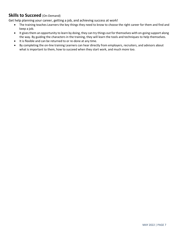### <span id="page-9-0"></span>**Skills to Succeed** (On-Demand)

Get help planning your career, getting a job, and achieving success at work!

- The training teaches Learners the key things they need to know to choose the right career for them and find and keep a job.
- It gives them an opportunity to learn by doing, they can try things out for themselves with on-going support along the way. By guiding the characters in the training, they will learn the tools and techniques to help themselves.
- It is flexible and can be returned to or re-done at any time.
- By completing the on-line training Learners can hear directly from employers, recruiters, and advisors about what is important to them, how to succeed when they start work, and much more too.